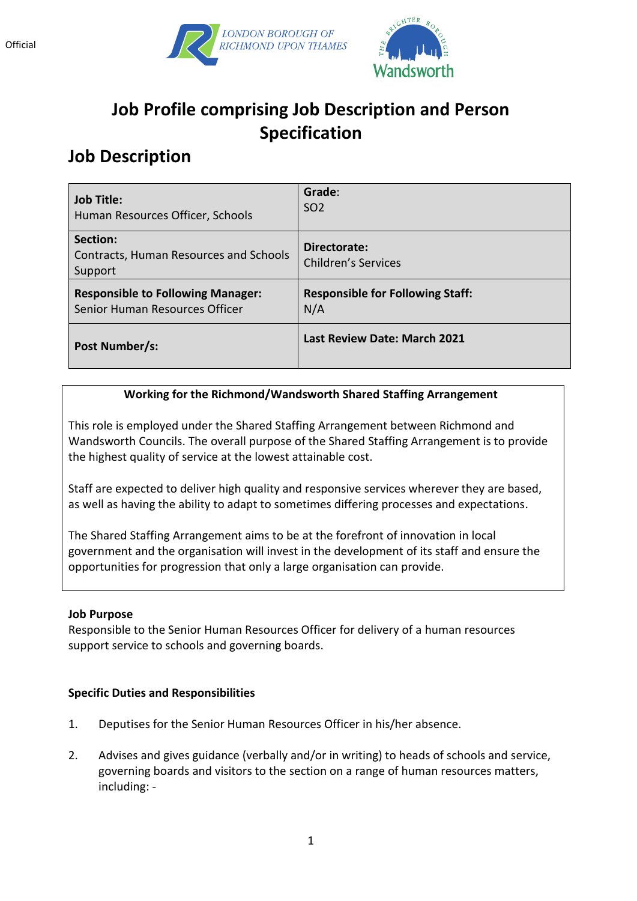



# **Job Profile comprising Job Description and Person Specification**

# **Job Description**

| <b>Job Title:</b>                                                    | Grade:                                     |
|----------------------------------------------------------------------|--------------------------------------------|
| Human Resources Officer, Schools                                     | SO <sub>2</sub>                            |
| Section:<br><b>Contracts, Human Resources and Schools</b><br>Support | Directorate:<br><b>Children's Services</b> |
| <b>Responsible to Following Manager:</b>                             | <b>Responsible for Following Staff:</b>    |
| Senior Human Resources Officer                                       | N/A                                        |
| Post Number/s:                                                       | Last Review Date: March 2021               |

### **Working for the Richmond/Wandsworth Shared Staffing Arrangement**

This role is employed under the Shared Staffing Arrangement between Richmond and Wandsworth Councils. The overall purpose of the Shared Staffing Arrangement is to provide the highest quality of service at the lowest attainable cost.

Staff are expected to deliver high quality and responsive services wherever they are based, as well as having the ability to adapt to sometimes differing processes and expectations.

The Shared Staffing Arrangement aims to be at the forefront of innovation in local government and the organisation will invest in the development of its staff and ensure the opportunities for progression that only a large organisation can provide.

#### **Job Purpose**

Responsible to the Senior Human Resources Officer for delivery of a human resources support service to schools and governing boards.

#### **Specific Duties and Responsibilities**

- 1. Deputises for the Senior Human Resources Officer in his/her absence.
- 2. Advises and gives guidance (verbally and/or in writing) to heads of schools and service, governing boards and visitors to the section on a range of human resources matters, including: -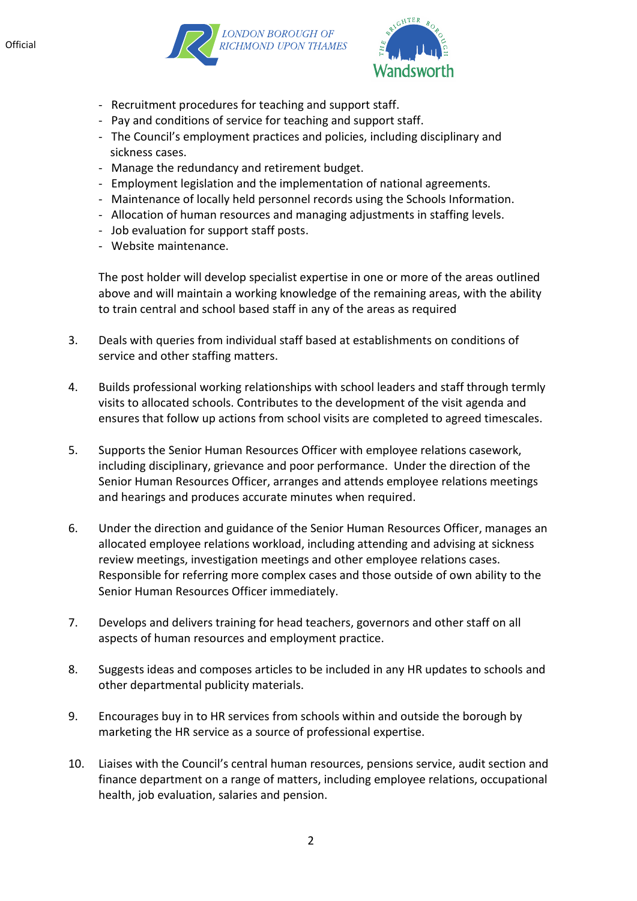



- Recruitment procedures for teaching and support staff.
- Pay and conditions of service for teaching and support staff.
- The Council's employment practices and policies, including disciplinary and sickness cases.
- Manage the redundancy and retirement budget.
- Employment legislation and the implementation of national agreements.
- Maintenance of locally held personnel records using the Schools Information.
- Allocation of human resources and managing adjustments in staffing levels.
- Job evaluation for support staff posts.
- Website maintenance.

The post holder will develop specialist expertise in one or more of the areas outlined above and will maintain a working knowledge of the remaining areas, with the ability to train central and school based staff in any of the areas as required

- 3. Deals with queries from individual staff based at establishments on conditions of service and other staffing matters.
- 4. Builds professional working relationships with school leaders and staff through termly visits to allocated schools. Contributes to the development of the visit agenda and ensures that follow up actions from school visits are completed to agreed timescales.
- 5. Supports the Senior Human Resources Officer with employee relations casework, including disciplinary, grievance and poor performance. Under the direction of the Senior Human Resources Officer, arranges and attends employee relations meetings and hearings and produces accurate minutes when required.
- 6. Under the direction and guidance of the Senior Human Resources Officer, manages an allocated employee relations workload, including attending and advising at sickness review meetings, investigation meetings and other employee relations cases. Responsible for referring more complex cases and those outside of own ability to the Senior Human Resources Officer immediately.
- 7. Develops and delivers training for head teachers, governors and other staff on all aspects of human resources and employment practice.
- 8. Suggests ideas and composes articles to be included in any HR updates to schools and other departmental publicity materials.
- 9. Encourages buy in to HR services from schools within and outside the borough by marketing the HR service as a source of professional expertise.
- 10. Liaises with the Council's central human resources, pensions service, audit section and finance department on a range of matters, including employee relations, occupational health, job evaluation, salaries and pension.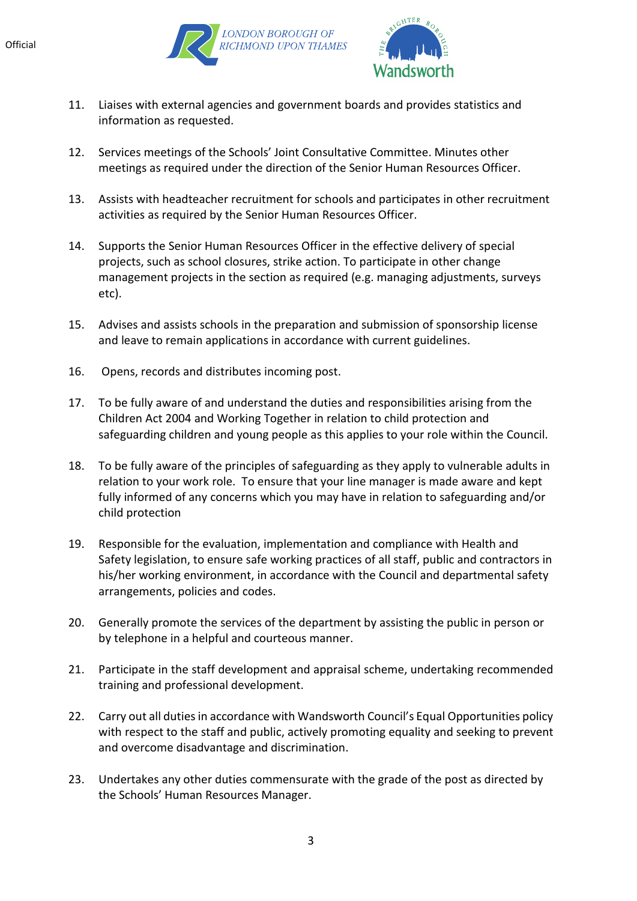



- 11. Liaises with external agencies and government boards and provides statistics and information as requested.
- 12. Services meetings of the Schools' Joint Consultative Committee. Minutes other meetings as required under the direction of the Senior Human Resources Officer.
- 13. Assists with headteacher recruitment for schools and participates in other recruitment activities as required by the Senior Human Resources Officer.
- 14. Supports the Senior Human Resources Officer in the effective delivery of special projects, such as school closures, strike action. To participate in other change management projects in the section as required (e.g. managing adjustments, surveys etc).
- 15. Advises and assists schools in the preparation and submission of sponsorship license and leave to remain applications in accordance with current guidelines.
- 16. Opens, records and distributes incoming post.
- 17. To be fully aware of and understand the duties and responsibilities arising from the Children Act 2004 and Working Together in relation to child protection and safeguarding children and young people as this applies to your role within the Council.
- 18. To be fully aware of the principles of safeguarding as they apply to vulnerable adults in relation to your work role. To ensure that your line manager is made aware and kept fully informed of any concerns which you may have in relation to safeguarding and/or child protection
- 19. Responsible for the evaluation, implementation and compliance with Health and Safety legislation, to ensure safe working practices of all staff, public and contractors in his/her working environment, in accordance with the Council and departmental safety arrangements, policies and codes.
- 20. Generally promote the services of the department by assisting the public in person or by telephone in a helpful and courteous manner.
- 21. Participate in the staff development and appraisal scheme, undertaking recommended training and professional development.
- 22. Carry out all duties in accordance with Wandsworth Council's Equal Opportunities policy with respect to the staff and public, actively promoting equality and seeking to prevent and overcome disadvantage and discrimination.
- 23. Undertakes any other duties commensurate with the grade of the post as directed by the Schools' Human Resources Manager.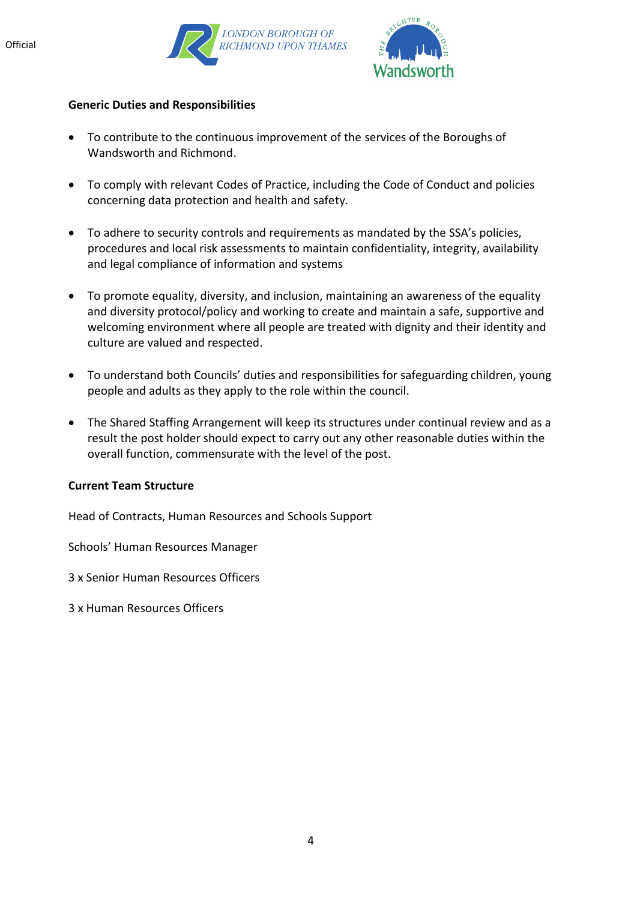



#### **Generic Duties and Responsibilities**

- To contribute to the continuous improvement of the services of the Boroughs of Wandsworth and Richmond.
- To comply with relevant Codes of Practice, including the Code of Conduct and policies concerning data protection and health and safety.
- To adhere to security controls and requirements as mandated by the SSA's policies, procedures and local risk assessments to maintain confidentiality, integrity, availability and legal compliance of information and systems
- To promote equality, diversity, and inclusion, maintaining an awareness of the equality and diversity protocol/policy and working to create and maintain a safe, supportive and welcoming environment where all people are treated with dignity and their identity and culture are valued and respected.
- To understand both Councils' duties and responsibilities for safeguarding children, young people and adults as they apply to the role within the council.
- The Shared Staffing Arrangement will keep its structures under continual review and as a result the post holder should expect to carry out any other reasonable duties within the overall function, commensurate with the level of the post.

#### **Current Team Structure**

Head of Contracts, Human Resources and Schools Support

Schools' Human Resources Manager

- 3 x Senior Human Resources Officers
- 3 x Human Resources Officers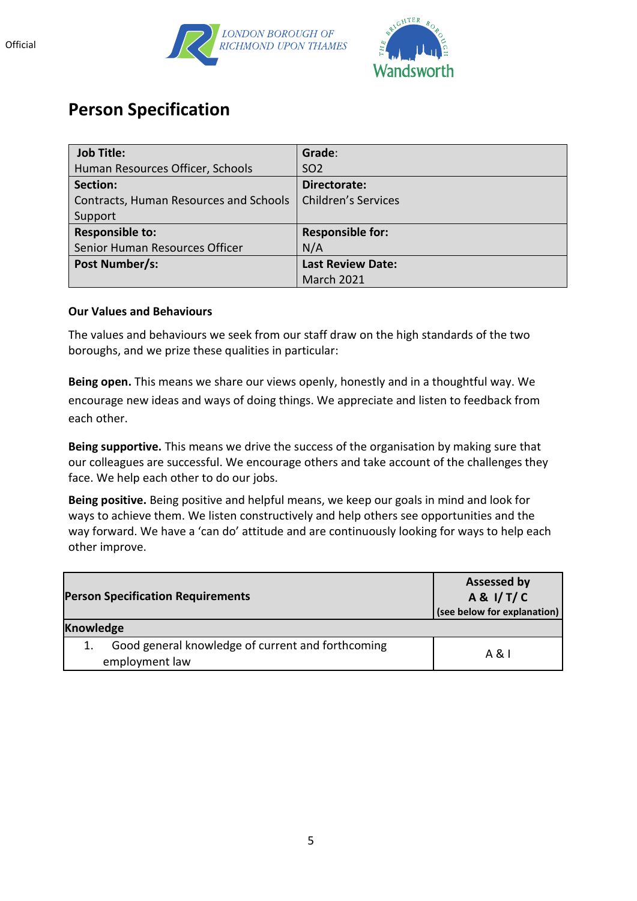



## **Person Specification**

| <b>Job Title:</b>                      | Grade:                     |
|----------------------------------------|----------------------------|
| Human Resources Officer, Schools       | <b>SO2</b>                 |
| Section:                               | Directorate:               |
| Contracts, Human Resources and Schools | <b>Children's Services</b> |
| Support                                |                            |
| <b>Responsible to:</b>                 | <b>Responsible for:</b>    |
| Senior Human Resources Officer         | N/A                        |
| Post Number/s:                         | <b>Last Review Date:</b>   |
|                                        | <b>March 2021</b>          |

#### **Our Values and Behaviours**

The values and behaviours we seek from our staff draw on the high standards of the two boroughs, and we prize these qualities in particular:

**Being open.** This means we share our views openly, honestly and in a thoughtful way. We encourage new ideas and ways of doing things. We appreciate and listen to feedback from each other.

**Being supportive.** This means we drive the success of the organisation by making sure that our colleagues are successful. We encourage others and take account of the challenges they face. We help each other to do our jobs.

**Being positive.** Being positive and helpful means, we keep our goals in mind and look for ways to achieve them. We listen constructively and help others see opportunities and the way forward. We have a 'can do' attitude and are continuously looking for ways to help each other improve.

| <b>Person Specification Requirements</b>                            | <b>Assessed by</b><br>A & I/T/C<br>(see below for explanation) |
|---------------------------------------------------------------------|----------------------------------------------------------------|
| <b>Knowledge</b>                                                    |                                                                |
| Good general knowledge of current and forthcoming<br>employment law | A & I                                                          |